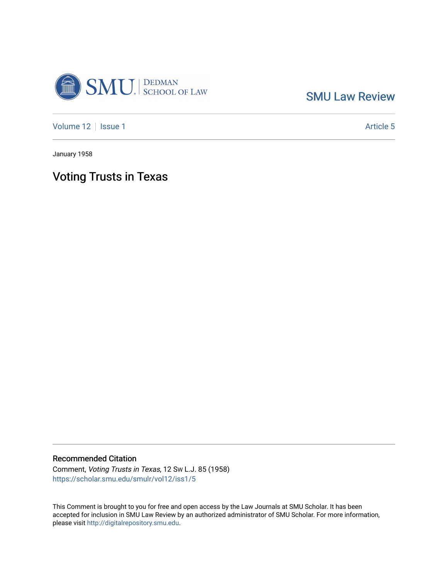

[SMU Law Review](https://scholar.smu.edu/smulr) 

[Volume 12](https://scholar.smu.edu/smulr/vol12) | [Issue 1](https://scholar.smu.edu/smulr/vol12/iss1) Article 5

January 1958

# Voting Trusts in Texas

# Recommended Citation

Comment, Voting Trusts in Texas, 12 SW L.J. 85 (1958) [https://scholar.smu.edu/smulr/vol12/iss1/5](https://scholar.smu.edu/smulr/vol12/iss1/5?utm_source=scholar.smu.edu%2Fsmulr%2Fvol12%2Fiss1%2F5&utm_medium=PDF&utm_campaign=PDFCoverPages) 

This Comment is brought to you for free and open access by the Law Journals at SMU Scholar. It has been accepted for inclusion in SMU Law Review by an authorized administrator of SMU Scholar. For more information, please visit [http://digitalrepository.smu.edu.](http://digitalrepository.smu.edu/)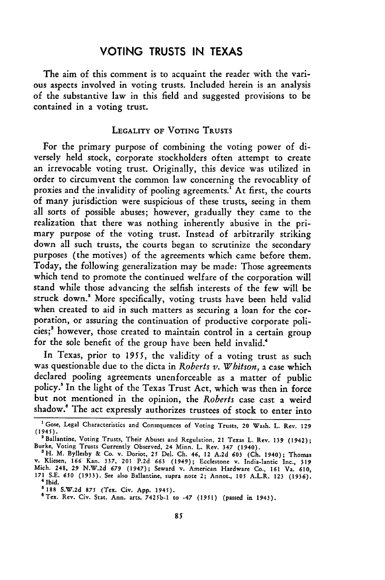# **VOTING TRUSTS IN TEXAS**

The aim of this comment is to acquaint the reader with the various aspects involved in voting trusts. Included herein is an analysis of the substantive law in this field and suggested provisions to be contained in a voting trust.

#### LEGALITY **OF** VOTING **TRUSTS**

For the primary purpose of combining the voting power of diversely held stock, corporate stockholders often attempt to create an irrevocable voting trust. Originally, this device was utilized in order to circumvent the common law concerning the revocablity of proxies and the invalidity of pooling agreements.<sup>1</sup> At first, the courts of many jurisdiction were suspicious of these trusts, seeing in them all sorts of possible abuses; however, gradually they came to the realization that there was nothing inherently abusive in the primary purpose of the voting trust. Instead of arbitrarily striking down all such trusts, the courts began to scrutinize the secondary purposes (the motives) of the agreements which came before them. Today, the following generalization may be made: Those agreements which tend to promote the continued welfare of the corporation will stand while those advancing the selfish interests of the few will be struck down." More specifically, voting trusts have been held valid when created to aid in such matters as securing a loan for the corporation, or assuring the continuation of productive corporate policies;<sup>3</sup> however, those created to maintain control in a certain group for the sole benefit of the group have been held invalid.<sup>4</sup>

In Texas, prior to **1955,** the validity of a voting trust as such was questionable due to the dicta in *Roberts v. Whitson,* a case which declared pooling agreements unenforceable as a matter of public policy.' In the light of the Texas Trust Act, which was then in force but not mentioned in the opinion, the *Roberts* case cast a weird shadow.' The act expressly authorizes trustees of stock to enter into

**<sup>&#</sup>x27;** Gose, Legal Characteristics and Consequences of Voting Trusts, 20 Wash. L. Rev. **129** (1945).

<sup>&</sup>lt;sup>2</sup> Ballantine, Voting Trusts, Their Abuses and Regulation, 21 Texas L. Rev. 139 (1942); Burke, Voting Trusts Currently Observed, 24 Minn. L. Rev. 347 (1940).

aH. M. Byllesby & Co. v. Doriot, **25** Del. Ch. 46, 12 A.2d **603** (Ch. 1940); Thomas v. Kliesen, **166** Kan. 337, 201 P.2d *663* (1949); Ecclestone v. India-lantic Inc., **<sup>319</sup>** Mich. 248, **29** N.W.2d **679** (1947); Seward v. American Hardware Co., **161** Va. 610, **171** S.E. 650 (1933). See also Ballantine, supra note 2; Annot., **105** A.L.R. **123** (1936). 4 Ibid.

**<sup>5</sup>**188 **S.W.2d** 875 (Tex. Civ. App. 1945). 6Tex. Rev. Civ. Stat. Ann. arts. 7425b-1 to -47 (1951) (passed in 1943).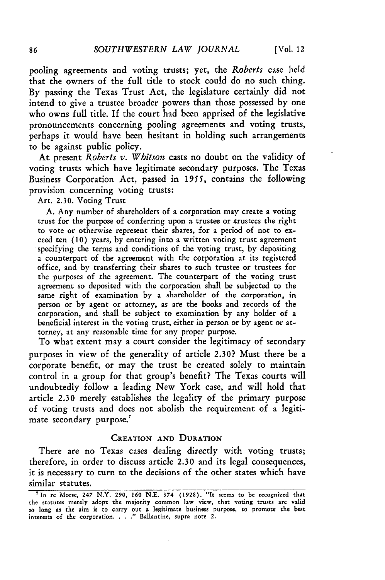pooling agreements and voting trusts; yet, the *Roberts* case held that the owners of the full title to stock could do no such thing. By passing the Texas Trust Act, the legislature certainly did not intend to give a trustee broader powers than those possessed by one who owns full title. If the court had been apprised of the legislative pronouncements concerning pooling agreements and voting trusts, perhaps it would have been hesitant in holding such arrangements to be against public policy.

At present *Roberts v. Whitson* casts no doubt on the validity of voting trusts which have legitimate secondary purposes. The Texas Business Corporation Act, passed in 1955, contains the following provision concerning voting trusts:

Art. 2.30. Voting Trust

A. Any number of shareholders of a corporation may create a voting trust for the purpose of conferring upon a trustee or trustees the right to vote or otherwise represent their shares, for a period of not to exceed ten **(10)** years, by entering into a written voting trust agreement specifying the terms and conditions of the voting trust, by depositing a counterpart of the agreement with the corporation at its registered office, and by transferring their shares to such trustee or trustees for the purposes of the agreement. The counterpart of the voting trust agreement so deposited with the corporation shall be subjected to the same right of examination by a shareholder of the corporation, in person or by agent or attorney, as are the books and records of the corporation, and shall be subject to examination by any holder of a beneficial interest in the voting trust, either in person or by agent or attorney, at any reasonable time for any proper purpose.

To what extent may a court consider the legitimacy of secondary purposes in view of the generality of article 2.30? Must there be a corporate benefit, or may the trust be created solely to maintain control in a group for that group's benefit? The Texas courts will undoubtedly follow a leading New York case, and will hold that article 2.30 merely establishes the legality of the primary purpose of voting trusts and does not abolish the requirement of a legitimate secondary purpose."

#### CREATION **AND** DURATION

There are no Texas cases dealing directly with voting trusts; therefore, in order to discuss article **2.30** and its legal consequences, it is necessary to turn to the decisions of the other states which have similar statutes.

<sup>&#</sup>x27;In re Morse, 247 N.Y. 290, *160* **N.E. 374 (1928). "It** seems to be recognized that the statutes merely adopt the majority common law view, that voting trusts are valid<br>so long as the aim is to carry out a legitimate business purpose, to promote the best<br>interests of the corporation. . . ." Ballantine, su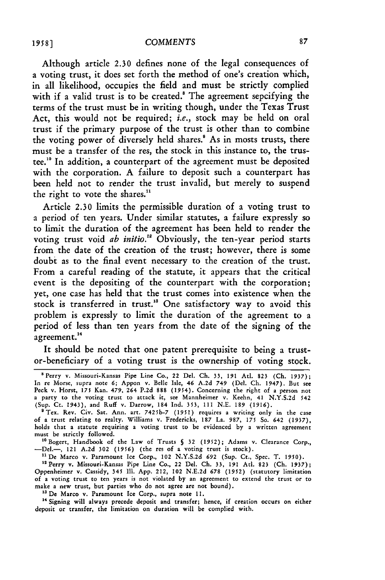Although article 2.30 defines none of the legal consequences of a voting trust, it does set forth the method of one's creation which, in all likelihood, occupies the field and must be strictly complied with if a valid trust is to be created.<sup>8</sup> The agreement sepcifying the terms of the trust must be in writing though, under the Texas Trust Act, this would not be required; *i.e.,* stock may be held on oral trust if the primary purpose of the trust is other than to combine the voting power of diversely held shares.<sup>8</sup> As in mosts trusts, there must be a transfer of the res, the stock in this instance to, the trustee."0 In addition, a counterpart of the agreement must be deposited with the corporation. A failure to deposit such a counterpart has been held not to render the trust invalid, but merely to suspend the right to vote the shares.<sup>11</sup>

Article 2.30 limits the permissible duration of a voting trust to a period of ten years. Under similar statutes, a failure expressly so to limit the duration of the agreement has been held to render the voting trust void *ab initio."* Obviously, the ten-year period starts from the date of the creation of the trust; however, there is some doubt as to the final event necessary to the creation of the trust. From a careful reading of the statute, it appears that the critical event is the depositing of the counterpart with the corporation; yet, one case has held that the trust comes into existence when the stock is transferred in trust." One satisfactory way to avoid this problem is expressly to limit the duration of the agreement to a period of less than ten years from the date of the signing of the 4 agreement.<sup>14</sup>

It should be noted that one patent prerequisite to being a trustor-beneficiary of a voting trust is the ownership of voting stock.

<sup>10</sup> Bogert, Handbook of the Law of Trusts § 32 (1952); Adams v. Clearance Corp., -Del.-, 121 A.2d 302 (1956) (the res of a voting trust is stock).

<sup>11</sup> De Marco v. Paramount Ice Corp., 102 N.Y.S.2d 692 (Sup. Ct., Spec. T. 1950).

<sup>12</sup> Perry v. Missouri-Kansas Pipe Line Co., 22 Del. Ch. 33, 191 Atl. 823 (Ch. 1937); Oppenheimer v. Cassidy, 345 III. App. 212, 102 N.E.2d **678** (1952) (statutory limitation of a voting trust to ten years is not violated by an agreement to extend the trust or to make a new trust, but parties who do not agree are not bound).

**'s** De Marco v. Paramount Ice Corp., supra note **11.**

<sup>14</sup> Signing will always precede deposit and transfer; hence, if creation occurs on either deposit **or** transfer, the limitation on duration will be complied with.

<sup>&#</sup>x27;Perry v. Missouri-Kansas Pipe Line Co., 22 Del. Ch. 33, **191** Atl. 823 (Ch. **1937);** In re Morse, supra note **6;** Appon v. Belle Isle, 46 A.2d 749 (Del. Ch. 1947). But see Peck v. Horst, 175 Kan. 479, 264 P.2d 888 (1954). Concerning the right of a person not a party to the voting trust to attack it, see Mannheimer v. Keehn, 41 N.Y.S.2d 542 (Sup. Ct. 1943), and Ruff v. Darrow, 184 Ind. 353, 111 N.E. 189 (1916).

<sup>&</sup>lt;sup>9</sup> Tex. Rev. Civ. Sat. Ann. art. 7425b-7 (1951) requires a writing only in the case<br>of a trust relating to realty. Williams v. Fredericks, 187 La. 987, 175 So. 642 (1937). holds that a statute requiring a voting trust to be evidenced by a written agreement must be strictly followed.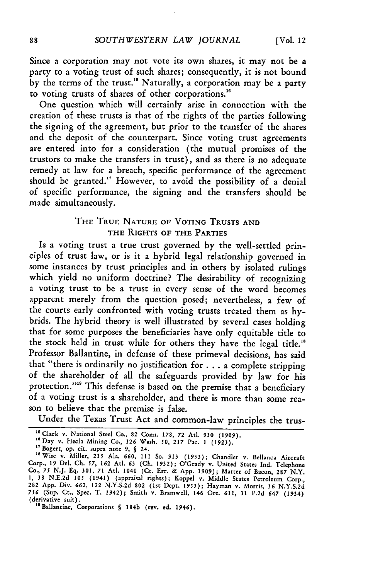Since a corporation may not vote its own shares, it may not be a party to a voting trust of such shares; consequently, it is not bound by the terms of the trust." Naturally, a corporation may be a party to voting trusts of shares of other corporations."

One question which will certainly arise in connection with the creation of these trusts is that of the rights of the parties following the signing of the agreement, but prior to the transfer of the shares and the deposit of the counterpart. Since voting trust agreements are entered into for a consideration (the mutual promises of the trustors to make the transfers in trust), and as there is no adequate remedy at law for a breach, specific performance of the agreement should be granted." However, to avoid the possibility of a denial of specific performance, the signing and the transfers should be made simultaneously.

## **THE** TRUE **NATURE** OF VOTING **TRUSTS AND** THE RIGHTS OF THE PARTIES

Is a voting trust a true trust governed by the well-settled principles of trust law, or is it a hybrid legal relationship governed in some instances by trust principles and in others by isolated rulings which yield no uniform doctrine? The desirability of recognizing a voting trust to be a trust in every sense of the word becomes apparent merely from the question posed; nevertheless, a few of the courts early confronted with voting trusts treated them as hybrids. The hybrid theory is well illustrated by several cases holding that for some purposes the beneficiaries have only equitable title to the stock held in trust while for others they have the legal title.'" Professor Ballantine, in defense of these primeval decisions, has said that "there is ordinarily no justification for **. . .** a complete stripping of the shareholder of all the safeguards provided by law for his protection."<sup>18</sup> This defense is based on the premise that a beneficiary of a voting trust is a shareholder, and there is more than some reason to believe that the premise is false.

Under the Texas Trust Act and common-law principles the trus-

<sup>&</sup>quot;Clark v. National Steel Co., 82 Conn. 178, 72 AtI. 930 (1909). **<sup>16</sup>**Day v. Hecla Mining Co., **126** Wash. **50, 217** Pac. **1** (1923).

<sup>&</sup>quot;Bogert, op. cit. supra note **9, §** 24. "SWise v. Miller, **215** Ala. *660,* **111** So. *913* **(1933);** Chandler v. Bellanca Aircraft

Corp., 19 Del. **Ch. 57, 162** AtI. **63 (Ch. 1932);** O'Grady v. United States Ind. Telephone Co., *75* **N.J. Eq.** 301, **71 Atl.** 1040 (Ct. Err. **& App. 1909);** Matter of Bacon, **287** N.Y. **1,** 38 **N.E.2d 105** (1941) (appraisal rights); Koppel v. Middle States Petroleum Corp., **282** App. Div. 662, 122 N.Y.S.2d **802** (1st Dept. **1953);** Hayman v. Morris, 36 N.Y.S.2d **756** (Sup. Ct., Spec. T. 1942); Smith v. Bramwell, 146 Ore. 611, 31 P.2d 647 (1934) (derivative suit). '9Ballantine, Corporations **§** 184b (rev. ed. 1946).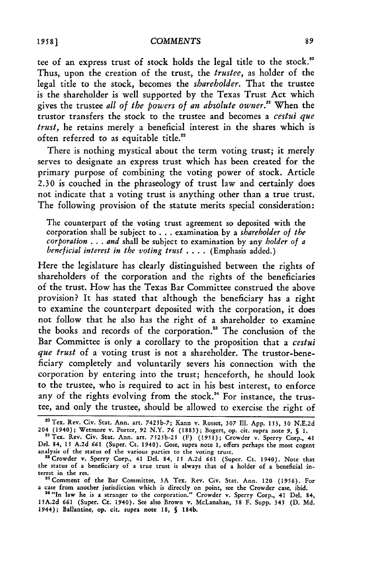tee of an express trust of stock holds the legal title to the stock."0 Thus, upon the creation of the trust, the *trustee,* as holder of the legal title to the stock, becomes the *shareholder.* That the trustee is the shareholder is well supported by the Texas Trust Act which gives the trustee *all of the powers of an absolute owner."* When the trustor transfers the stock to the trustee and becomes a *cestui que trust,* he retains merely a beneficial interest in the shares which is often referred to as equitable title."

There is nothing mystical about the term voting trust; it merely serves to designate an express trust which has been created for the primary purpose of combining the voting power of stock. Article 2.30 is couched in the phraseology of trust law and certainly does not indicate that a voting trust is anything other than a true trust. The following provision of the statute merits special consideration:

The counterpart of the voting trust agreement so deposited with the corporation shall be subject to . . . examination by a *shareholder of the corporation* ... *and* shall be subject to examination by any *holder of a beneficial interest in the voting trust* .... (Emphasis added.)

Here the legislature has clearly distinguished between the rights of shareholders of the corporation and the rights of the beneficiaries of the trust. How has the Texas Bar Committee construed the above provision? It has stated that although the beneficiary has a right to examine the counterpart deposited with the corporation, it does not follow that he also has the right of a shareholder to examine the books and records of the corporation.<sup>23</sup> The conclusion of the Bar Committee is only a corollary to the proposition that a *cestui que trust* of a voting trust is not a shareholder. The trustor-beneficiary completely and voluntarily severs his connection with the corporation by entering into the trust; henceforth, he should look to the trustee, who is required to act in his best interest, to enforce any of the rights evolving from the stock.<sup>24</sup> For instance, the trustee, and only the trustee, should be allowed to exercise the right of

<sup>&</sup>quot; 0Tex. Rev. Civ. Stat. Ann. art. 7425b-7; Kann v. Rosset, **307** Ill. App. 153, 30 N.E.2d 204 (1940); Wetmore v. Porter, 92 N.Y. 76 (1883); Bogert, op. cit. supra note 9, *S* 1.<br><sup>21</sup> Tex. Rev. Civ. Stat. Ann. art. 7525b-25 (F) (1951); Crowder v. Sperry Corp., 41

Del. 84, 15 A.2d 661 (Super. Ct. 1940). Gose, supra note 1, offers perhaps the most cogen<br>analysis of the status of the various parties to the voting trust.<br><sup>22</sup> Crowder v. Sperry Corp., 41 Del. 84, 15 A.2d 661 (Super. Ct.

the status of a beneficiary of a true trust is always that of a holder of a beneficial in-

terest in the res.<br><sup>23</sup> Comment of the Bar Committee, 3A Tex. Rev. Civ. Stat. Ann. 120 (1956). For<br>25 commenter jurisdiction which is directly on point, see the Crowder case, ibid.<br><sup>24</sup> 'In law he is a stranger to the corp

<sup>1944);</sup> Ballantine, op. cit. supra note **18, §** 184b.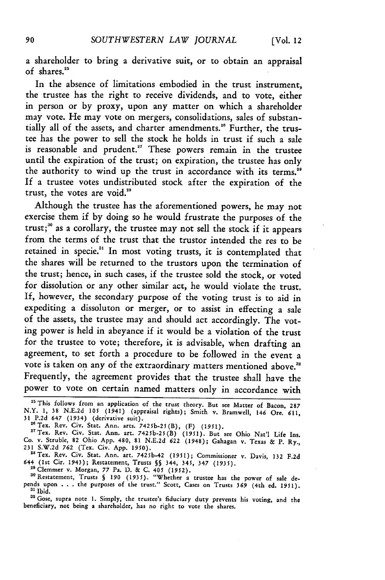a shareholder to bring a derivative suit, or to obtain an appraisal of shares."'

In the absence of limitations embodied in the trust instrument, the trustee has the right to receive dividends, and to vote, either in person or by proxy, upon any matter on which a shareholder may vote. He may vote on mergers, consolidations, sales of substantially all of the assets, and charter amendments."6 Further, the trustee has the power to sell the stock he holds in trust if such a sale is reasonable and prudent." These powers remain in the trustee until the expiration of the trust; on expiration, the trustee has only the authority to wind up the trust in accordance with its terms.<sup>28</sup> If a trustee votes undistributed stock after the expiration of the trust, the votes are void."

Although the trustee has the aforementioned powers, he may not exercise them if by doing so he would frustrate the purposes of the trust;<sup>30</sup> as a corollary, the trustee may not sell the stock if it appears from the terms of the trust that the trustor intended the res to be retained in specie.<sup>31</sup> In most voting trusts, it is contemplated that the shares will be returned to the trustors upon the termination of the trust; hence, in such cases, if the trustee sold the stock, or voted for dissolution or any other similar act, he would violate the trust. If, however, the secondary purpose of the voting trust is to aid in expediting a dissoluton or merger, or to assist in effecting a sale of the assets, the trustee may and should act accordingly. The voting power is held in abeyance if it would be a violation of the trust for the trustee to vote; therefore, it is advisable, when drafting an agreement, to set forth a procedure to be followed in the event a vote is taken on any of the extraordinary matters mentioned above.<sup>32</sup> Frequently, the agreement provides that the trustee shall have the power to vote on certain named matters only in accordance with

"'Tex. Rev. Civ. Stat. Ann. art. 7425b-25(B) **(1951).** But see Ohio Nat'l Life Ins. Co. v. Struble, 82 Ohio App. 480, 81 **N.E.2d 622** (1948); Gahagan v. Texas & P. Ry., 231 S.W.2d 762 (Tex. Civ. App. *1950).*

<sup>28</sup> Tex. Rev. Civ. Stat. Ann. art. 7425b-42 (1951); Commissioner v. Davis, 132 F.2d 644 (lst Cir. 1943); Restatement, Trusts **§§** 344, 345, 347 (1935).

<sup>29</sup> Clemmer v. Morgan, 77 Pa. D. & C. 405 (1952).<br><sup>30</sup> Restatement, Trusts § 190 (1935). "Whether a trustee has the power of sale depends upon **. . .** the purposes of the trust." Scott, Cases on Trusts 369 (4th ed. 1951). **3'** Ibid.

**<sup>32</sup>**Gose, supra note **1.** Simply, the trustee's fiduciary duty prevents his voting, and the beneficiary, not being a shareholder, has no right to vote the shares.

**<sup>25</sup>**This follows from an application of the trust theory. But see Matter of Bacon, 287 N.Y. 1, 38 **N.E.2d 105** (1941) (appraisal rights); Smith v. Bramwell, 146 Ore. 611, <sup>31</sup>**P.2d** 647 (1934) (derivative suit). "6Tex. Rev. Civ. Stat. Ann. arts. 7425b-25(B), (F) (1951).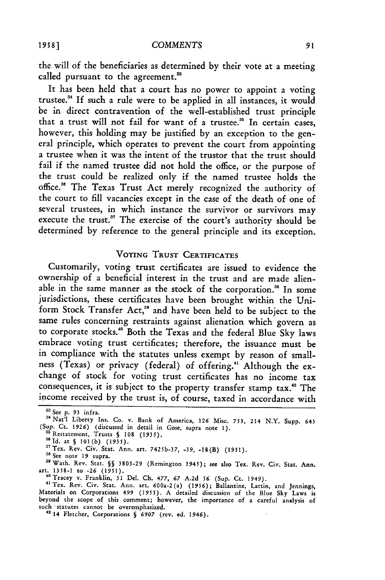the will of the beneficiaries as determined by their vote at a meeting called pursuant to the agreement.<sup>33</sup>

It has been held that a court has no power to appoint a voting trustee.<sup>34</sup> If such a rule were to be applied in all instances, it would be in direct contravention of the well-established trust principle that a trust will not fail for want of a trustee.<sup>35</sup> In certain cases, however, this holding may be justified by an exception to the general principle, which operates to prevent the court from appointing a trustee when it was the intent of the trustor that the trust should fail if the named trustee did not hold the office, or the purpose of the trust could be realized only if the named trustee holds the office."6 The Texas Trust Act merely recognized the authority of the court to fill vacancies except in the case of the death of one of several trustees, in which instance the survivor or survivors may execute the trust."' The exercise of the court's authority should be determined by reference to the general principle and its exception.

## **VOTING TRUST CERTIFICATES**

Customarily, voting trust certificates are issued to evidence the ownership of a beneficial interest in the trust and are made alienable in the same manner as the stock of the corporation.<sup>38</sup> In some jurisdictions, these certificates have been brought within the Uniform Stock Transfer Act,<sup>39</sup> and have been held to be subject to the same rules concerning restraints against alienation which govern as to corporate stocks." Both the Texas and the federal Blue Sky laws embrace voting trust certificates; therefore, the issuance must be in compliance with the statutes unless exempt by reason of smallness (Texas) or privacy (federal) of offering.<sup>41</sup> Although the exchange of stock for voting trust certificates has no income tax consequences, it is subject to the property transfer stamp tax."' The income received by the trust is, of course, taxed in accordance with

**<sup>88</sup>** See **p.** 93 infra.

<sup>34</sup> Nat'l Liberty Ins. Co. v. Bank of America, 126 Misc. 753, 214 N.Y. Supp. 643 (Sup. Ct. 1926) (discussed in detail in Gose, supra note **1). <sup>85</sup>**Restatement, Trusts **§ 108** *(1935).*

SId. at **§** 101(b) **(1935). <sup>17</sup>**Tex. Rev. Civ. Star. Ann. art. 742sb-37, **-39,** -18(B) **(1951).**

**<sup>38</sup>** See note **19** supra. 39Wash. Rev. Stat. **§§ 3803-29** (Remington 1945); see also Tex. Rev. Civ. Stat. Ann. art. **1358-1** to *-26* **(1951).**

<sup>&</sup>quot;°Tracey v. Franklin, 31 Del. **Ch. 477,** *67* **A.2d 56** (Sup. Ct. 1949). 41Tex. Rev. Civ. Stat. Ann. art. 600a-2(a) **(1956);** Ballantine, Lattin, and Jennings, Materials on Corporations *499 (1955).* A detailed discussion of the Blue **Sky** Laws is beyond the scope of this comment; however, the importance of a careful analysis of such statutes cannot be overemphasized.

<sup>&</sup>quot; 14 Fletcher, Corporations **§** *6907* (rev. ed. 1946).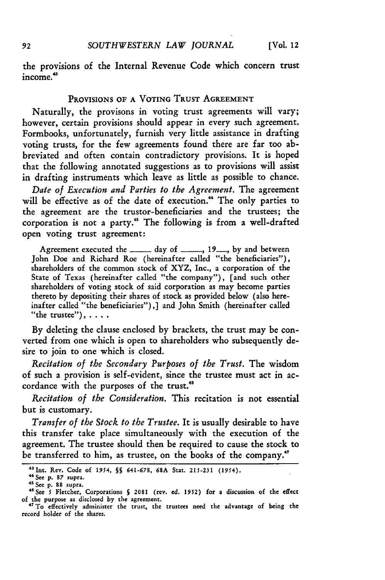the provisions of the Internal Revenue Code which concern trust income."

### **PROVISIONS OF A VOTING TRUST AGREEMENT**

Naturally, the provisons in voting trust agreements will vary; however, certain provisions should appear in every such agreement. Formbooks, unfortunately, furnish very little assistance in drafting voting trusts, for the few agreements found there are far too abbreviated and often contain contradictory provisions. It is hoped that the following annotated suggestions as to provisions will assist in drafting instruments which leave as little as possible to chance.

*Date of Execution and Parties to the Agreement.* The agreement will be effective as of the date of execution.<sup>44</sup> The only parties to the agreement are the trustor-beneficiaries and the trustees; the corporation is not a party.' The following is from a well-drafted open voting trust agreement:

Agreement executed the **-----** day of **------**, 19 .---, by and between John Doe and Richard Roe (hereinafter called "the beneficiaries"), shareholders of the common stock of XYZ, Inc., a corporation of the State of Texas (hereinafter called "the company"), [and such other shareholders of voting stock of said corporation as may become parties thereto by depositing their shares of stock as provided below (also hereinafter called "the beneficiaries"),] and John Smith (hereinafter called "the trustee"), **....**

By deleting the clause enclosed by brackets, the trust may be converted from one which is open to shareholders who subsequently desire to join to one which is closed.

*Recitation of the Secondary Purposes of the Trust.* The wisdom of such a provision is self-evident, since the trustee must act in accordance with the purposes of the trust."

*Recitation of the Consideration.* This recitation is not essential but is customary.

*Transfer of the Stock to the Trustee.* It is usually desirable to have this transfer take place simultaneously with the execution of the agreement. The trustee should then be required to cause the stock to be transferred to him, as trustee, on the books of the company."

92

**<sup>4</sup> Int. Rev. Code of** 1954, *§* **641-678, 68A** Stat. **215-231** (1954).

**<sup>44</sup>**See **p. 87** supra. 41 See **p. 88** supra.

<sup>&</sup>quot;See **5** Fletcher, Corporations **§** 2081 (rev. ed. 1952) for **a** discussion of the effect of the purpose as disclosed **by** the agreement. "'To effectively administer the trust, the trustees need the advantage of being the

record holder of the shares.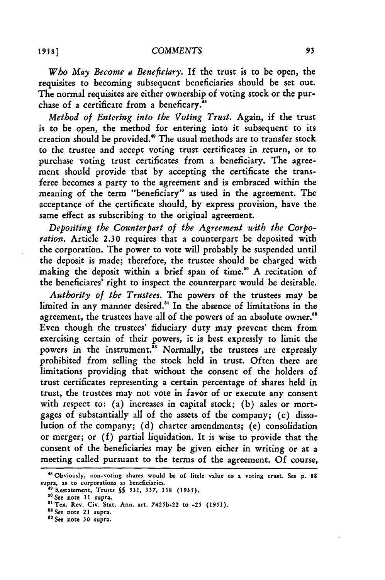*Who May Become a Beneficiary.* If the trust is to be open, the requisites to becoming subsequent beneficiaries should be set out. The normal requisites are either ownership of voting stock or the purchase of a certificate from a beneficary."

*Method of Entering into the Voting Trust.* Again, if the trust is to be open, the method for entering into it subsequent to its creation should be provided."' The usual methods are to transfer stock to the trustee and accept voting trust certificates in return, or **to** purchase voting trust certificates from a beneficiary. The agreement should provide that by accepting the certificate the transferee becomes a party to the agreement and is embraced within the meaning of the term "beneficiary" as used in the agreement. The acceptance of the certificate should, by express provision, have the same effect as subscribing to the original agreement.

*Depositing the Counterpart of the Agreement with the Corporation.* Article 2.30 requires that a counterpart be deposited with the corporation. The power to vote will probably be suspended until the deposit is made; therefore, the trustee should be charged with making the deposit within a brief span of time."0 A recitation of the beneficiares' right to inspect the counterpart would be desirable.

*Authority of the Trustees.* The powers of the trustees may be limited in any manner desired.<sup>51</sup> In the absence of limitations in the agreement, the trustees have all of the powers of an absolute owner.<sup>58</sup> Even though the trustees' fiduciary duty may prevent them from exercising certain of their powers, it is best expressly to limit the powers in the instrument.<sup>33</sup> Normally, the trustees are expressly prohibited from selling the stock held in trust. Often there are limitations providing that without the consent of the holders of trust certificates representing a certain percentage of shares held in trust, the trustees may not vote in favor of or execute any consent with respect to: (a) increases in capital stock; (b) sales or mortgages of substantially all of the assets of the company; (c) dissolution of the company; (d) charter amendments; (e) consolidation or merger; or (f) partial liquidation. It is wise to provide that the consent of the beneficiaries may be given either in writing or at a meeting called pursuant to the terms of the agreement. Of course,

**<sup>48</sup>**Obviously, non-voting shares would be **of** little value **to** a voting trust. See **p. 88** supra, **as** to corporations **as beneficiaries.** 49Restatement, Trusts *SS* **331, 337, 338 (1935). .0** See note **11** supra.

<sup>&</sup>quot;1Tex. Rev. **Civ.** Stat. Ann. art. **7425b-22** to **-25 (1951).**

<sup>&</sup>lt;sup>52</sup> See note 21 supra.

 $^{53}$  See note 30 supra.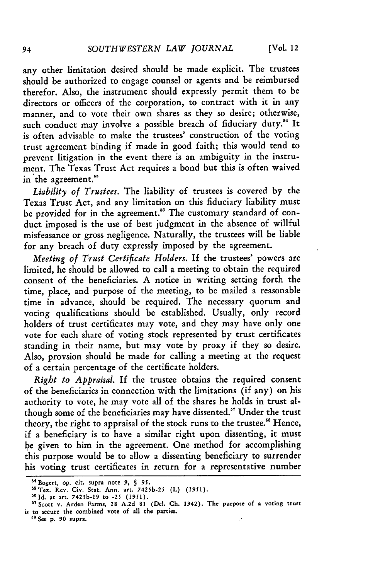any other limitation desired should be made explicit. The trustees should be authorized to engage counsel or agents and be reimbursed therefor. Also, the instrument should expressly permit them to be directors or officers of the corporation, to contract with it in any manner, and to vote their own shares as they so desire; otherwise, such conduct may involve a possible breach of fiduciary duty.<sup>54</sup> It is often advisable to make the trustees' construction of the voting trust agreement binding if made in good faith; this would tend to prevent litigation in the event there is an ambiguity in the instrument. The Texas Trust Act requires a bond but this is often waived in the agreement."

*Liability of Trustees.* The liability of trustees is covered by the Texas Trust Act, and any limitation on this fiduciary liability must be provided for in the agreement."° The customary standard of conduct imposed is the use of best judgment in the absence of willful misfeasance or gross negligence. Naturally, the trustees will be liable for any breach of duty expressly imposed by the agreement.

*Meeting of Trust Certificate Holders.* If the trustees' powers are limited, he should be allowed to call a meeting to obtain the required consent of the beneficiaries. A notice in writing setting forth the time, place, and purpose of the meeting, to be mailed a reasonable time in advance, should be required. The necessary quorum and voting qualifications should be established. Usually, only record holders of trust certificates may vote, and they may have only one vote for each share of voting stock represented by trust certificates standing in their name, but may vote by proxy if they so desire. Also, provsion should be made for calling a meeting at the request of a certain percentage of the certificate holders.

*Right to Appraisal.* **If** the trustee obtains the required consent of the beneficiaries in connection with the limitations (if any) on his authority to vote, he may vote all of the shares he holds in trust although some of the beneficiaries may have dissented." Under the trust theory, the right to appraisal of the stock runs to the trustee." Hence, if a beneficiary is to have a similar right upon dissenting, it must be given to him in the agreement. One method for accomplishing this purpose would be to allow a dissenting beneficiary to surrender his voting trust certificates in return for a representative number

<sup>54</sup> Bogert, **op. cit. supra** note **9,** *§* **95.**

<sup>55</sup> Tex. Rev. Civ. Stat. Ann. art. 7425b-25 (L) (1951)

**ld.** at art. **7425b-19 to -25 (1951).** " Scott **v. Arden Farms, 28 A.2d 81 (Del. Ch.** 1942). **The** purpose **of** a **voting trust** is **to** secure **the** combined **vote of all** the parties. **3s See p. 90 supra.**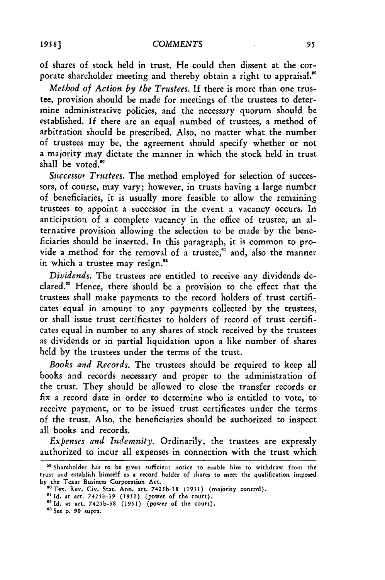of shares of stock held in trust. He could then dissent at the corporate shareholder meeting and thereby obtain a right to appraisal."

*Method of Action by the Trustees.* **If** there is more than one trustee, provision should be made for meetings of the trustees to determine administrative policies, and the necessary quorum should be established. If there are an equal numbed of trustees, a method of arbitration should be prescribed. Also, no matter what the number of trustees may be, the agreement should specify whether or not a majority may dictate the manner in which the stock held in trust shall be voted.<sup>60</sup>

*Successor Trustees.* The method employed for selection of successors, **of** course, may vary; however, in trusts having a large number of beneficiaries, it is usually more feasible to allow the remaining trustees to appoint a successor in the event a vacancy occurs. In anticipation of a complete vacancy in the office of trustee, an alternative provision allowing the selection to be made by the beneficiaries should be inserted. In this paragraph, it is common to provide a method for the removal of a trustee,<sup>61</sup> and, also the manner in which a trustee may resign.<sup>62</sup>

*Dividends.* The trustees are entitled to receive any dividends declared.<sup>63</sup> Hence, there should be a provision to the effect that the trustees shall make payments to the record holders of trust certificates equal in amount to any payments collected by the trustees, or shall issue trust certificates to holders of record of trust certificates equal in number to any shares of stock received by the trustees as dividends or in partial liquidation upon a like number of shares held by the trustees under the terms of the trust.

*Books and Records.* The trustees should be required to keep all books and records necessary and proper to the administration of the trust. They should be allowed to close the transfer records or fix a record date in order to determine who is entitled to vote, to receive payment, or to be issued trust certificates under the terms of the trust. Also, the beneficiaries should be authorized to inspect all books and records.

*Expenses and Indemnity.* Ordinarily, the trustees are expressly authorized to incur all expenses in connection with the trust which

<sup>&</sup>lt;sup>59</sup> Shareholder has to be given sufficient notice to enable him to withdraw from the trust and establish himself as a record holder of shares to meet the qualification imposed by the Texas Business Corporation Act.

<sup>&</sup>lt;sup>60</sup> Tex. Rev. Civ. Stat. Ann. art. 7425b-18 (1951) (majority control).

**<sup>62</sup>Id.** at art. 7425b-38 **(1951)** (power of the court).

**<sup>63</sup>** See **p.** 90 supra.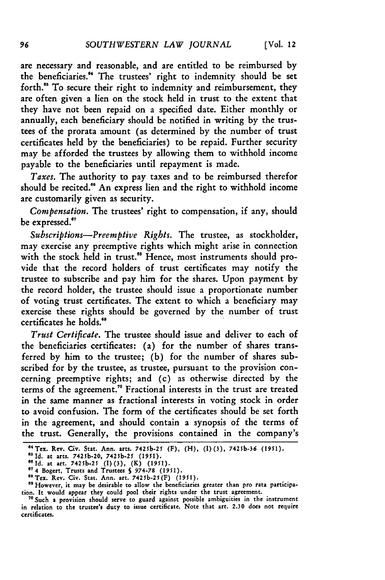are necessary and reasonable, and are entitled to be reimbursed by the beneficiaries."' The trustees' right to indemnity should be set forth.<sup>65</sup> To secure their right to indemnity and reimbursement, they are often given a lien on the stock held in trust to the extent that they have not been repaid on a specified date. Either monthly or annually, each beneficiary should be notified in writing by the trustees of the prorata amount (as determined by the number of trust certificates held by the beneficiaries) to be repaid. Further security may be afforded the trustees by allowing them to withhold income payable to the beneficiaries until repayment is made.

*Taxes.* The authority to pay taxes and to be reimbursed therefor should be recited." An express lien and the right to withhold income are customarily given as security.

*Compensation.* The trustees' right to compensation, if any, should be expressed.<sup>67</sup>

*Subscriptions-Preemptive Rights.* The trustee, as stockholder, may exercise any preemptive rights which might arise in connection with the stock held in trust.<sup>68</sup> Hence, most instruments should provide that the record holders of trust certificates may notify the trustee to subscribe and pay him for the shares. Upon payment by the record holder, the trustee should issue a proportionate number of voting trust certificates. The extent to which a beneficiary may exercise these rights should be governed by the number of trust certificates he holds.'

*Trust Certificate.* The trustee should issue and deliver to each of the beneficiaries certificates: (a) for the number of shares transferred by him to the trustee; (b) for the number of shares subscribed for **by** the trustee, as trustee, pursuant to the provision concerning preemptive rights; and (c) as otherwise directed by the terms of the agreement.<sup>70</sup> Fractional interests in the trust are treated in the same manner as fractional interests in voting stock in order to avoid confusion. The form of the certificates should be set forth in the agreement, and should contain a synopsis of the terms of the trust. Generally, the provisions contained in the company's

**<sup>&</sup>quot;Tex.** Rev. Civ. Stat. Ann. arts. **7425b-25** (F), (H), **(I) (3), 7425b-36 (1951).**

<sup>&</sup>lt;sup>85</sup> Id. at arts. 7425b-20, 7425b-25 (1951).<br><sup>86</sup> Id. at arts. 7425b-20, 7425b-25 (1951).<br><sup>87</sup> 4 Bogert, Trusts and Trustees § 974-78 (1951).<br><sup>87</sup> 4 Bogert, Trusts and Trustees § 974-78 (1951).

<sup>&</sup>lt;sup>68</sup> Tex. Rev. Civ. Stat. Ann. art. 7425b-25(F) (1951).<br><sup>69</sup> However, it may be desirable to allow the beneficiaries greater than pro rata participation. It would appear they could pool their rights under the trust agreement.

**<sup>&</sup>quot;** Such a provision should serve to guard against possible ambiguities in the instrument in relation to the trustee's duty to issue certificate. Note that art. **2.30** does not require certificates.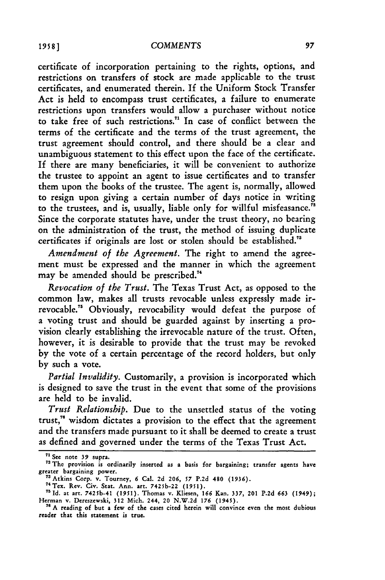certificate of incorporation pertaining to the rights, options, and restrictions on transfers of stock are made applicable to the trust certificates, and enumerated therein. If the Uniform Stock Transfer Act is held to encompass trust certificates, a failure to enumerate restrictions upon transfers would allow a purchaser without notice to take free of such restrictions.<sup>71</sup> In case of conflict between the terms of the certificate and the terms of the trust agreement, the trust agreement should control, and there should be a clear and unambiguous statement to this effect upon the face of the certificate. If there are many beneficiaries, it will be convenient to authorize the trustee to appoint an agent to issue certificates and to transfer them upon the books of the trustee. The agent is, normally, allowed to resign upon giving a certain number of days notice in writing to the trustees, and is, usually, liable only for willful misfeasance." Since the corporate statutes have, under the trust theory, no bearing on the administration of the trust, the method of issuing duplicate certificates if originals are lost or stolen should be established."3

*Amendment of the Agreement.* The right to amend the agreement must be expressed and the manner in which the agreement may be amended should be prescribed.'

*Revocation of the Trust.* The Texas Trust Act, as opposed to the common law, makes all trusts revocable unless expressly made irrevocable." Obviously, revocability would defeat the purpose of a voting trust and should be guarded against by inserting a provision clearly establishing the irrevocable nature of the trust. Often, however, it is desirable to provide that the trust may be revoked by the vote of a certain percentage of the record holders, but only by such a vote.

*Partial Invalidity.* Customarily, a provision is incorporated which is designed to save the trust in the event that some of the provisions are held to be invalid.

*Trust Relationship.* Due to the unsettled status of the voting trust,<sup>76</sup> wisdom dictates a provision to the effect that the agreement and the transfers made pursuant to it shall be deemed to create a trust as defined and governed under the terms of the Texas Trust Act.

**<sup>71</sup> See** note **39 supra.**

<sup>&</sup>lt;sup>72</sup> The provision is ordinarily inserted as a basis for bargaining; transfer agents have greater bargaining power.<br><sup>73</sup> Atkins Corp. v. Tourney, 6 Cal. 2d 206, 57 P.2d 480 (1936).<br><sup>74</sup> Tex. Rev. Civ. Stat. Ann. art. 7425b-22 (1951).

**<sup>75</sup>Id.** at **art.** 7425b-41 **(1951).** Thomas **v.** Kliesen, **166 Kan. 337, 201 P.2d** *663* (1949); Herman v. Dereszewski, 312 Mich. 244, 20 N.W.2d 176 (1945). <sup>76</sup> A reading of but a few of the cases cited herein will convince even the most dubious

**reader** that this statement is **true.**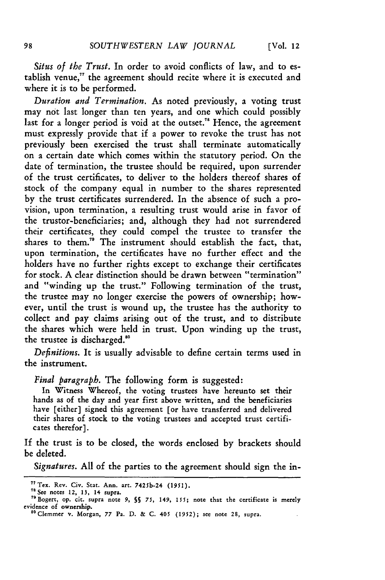*Situs of the Trust.* In order to avoid conflicts of law, and to establish venue," the agreement should recite where it is executed and where it is to be performed.

*Duration and Termination.* As noted previously, a voting trust may not last longer than ten years, and one which could possibly last for a longer period is void at the outset.<sup>78</sup> Hence, the agreement must expressly provide that if a power to revoke the trust has not previously been exercised the trust shall terminate automatically on a certain date which comes within the statutory period. On the date of termination, the trustee should be required, upon surrender of the trust certificates, to deliver to the holders thereof shares of stock of the company equal in number to the shares represented by the trust certificates surrendered. In the absence of such a provision, upon termination, a resulting trust would arise in favor of the trustor-beneficiaries; and, although they had not surrendered their certificates, they could compel the trustee to transfer the shares to them.<sup>70</sup> The instrument should establish the fact, that, upon termination, the certificates have no further effect and the holders have no further rights except to exchange their certificates for stock. **A** clear distinction should be drawn between "termination" and "winding up the trust." Following termination of the trust, the trustee may no longer exercise the powers of ownership; however, until the trust is wound up, the trustee has the authority to collect and pay claims arising out of the trust, and to distribute the shares which were held in trust. Upon winding up the trust, the trustee is discharged."

*Definitions.* It is usually advisable to define certain terms used in the instrument.

*Final paragraph.* The following form is suggested:

In Witness Whereof, the voting trustees have hereunto set their hands as of the day and year first above written, and the beneficiaries have [either] signed this agreement [or have transferred and delivered their shares of stock to the voting trustees and accepted trust certificates therefor].

If the trust is to be closed, the words enclosed by brackets should be deleted.

*Signatures.* **All** of the parties to the agreement should sign the in-

**<sup>&</sup>quot;Tex.** Rev. **Civ.** Stat. Ann. art. 7425b-24 **(1951). <sup>7</sup>**See notes **12, 13, 14 supra.**

<sup>71</sup>Bogert, **op.** cit. supra note **9, §S** *75,* 149, **155;** note that the certificate is merely evidence **of** ownership.

s°Clemmer **v. Morgan, 77 Pa. D. & C. 405 (1952);** see note 28, supra.